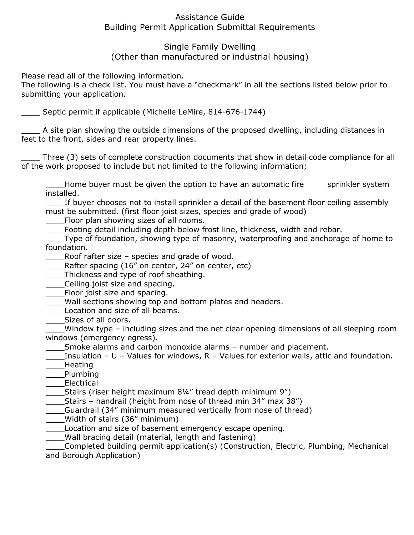# Assistance Guide Building Permit Application Submittal Requirements

# Single Family Dwelling (Other than manufactured or industrial housing)

Please read all of the following information.

The following is a check list. You must have a "checkmark" in all the sections listed below prior to submitting your application.

\_\_\_\_ Septic permit if applicable (Michelle LeMire, 814-676-1744)

\_\_\_\_ A site plan showing the outside dimensions of the proposed dwelling, including distances in feet to the front, sides and rear property lines.

Three (3) sets of complete construction documents that show in detail code compliance for all of the work proposed to include but not limited to the following information;

Let thome buyer must be given the option to have an automatic fire sprinkler system installed.

If buyer chooses not to install sprinkler a detail of the basement floor ceiling assembly must be submitted. (first floor joist sizes, species and grade of wood)

Floor plan showing sizes of all rooms.

Footing detail including depth below frost line, thickness, width and rebar.

Type of foundation, showing type of masonry, waterproofing and anchorage of home to foundation.

\_\_\_\_Roof rafter size – species and grade of wood.

\_\_\_\_Rafter spacing (16" on center, 24" on center, etc)

\_\_\_\_Thickness and type of roof sheathing.

\_\_\_\_Ceiling joist size and spacing.

**EXECUTE:** Floor joist size and spacing.

Wall sections showing top and bottom plates and headers.

\_\_\_\_Location and size of all beams.

\_\_\_\_Sizes of all doors.

\_\_\_\_Window type – including sizes and the net clear opening dimensions of all sleeping room windows (emergency egress).

\_\_\_\_Smoke alarms and carbon monoxide alarms – number and placement.

Insulation – U – Values for windows, R – Values for exterior walls, attic and foundation. \_\_\_\_Heating

\_\_\_\_Plumbing

\_\_\_\_Electrical

\_\_\_\_Stairs (riser height maximum 8¼" tread depth minimum 9")

Stairs – handrail (height from nose of thread min 34" max 38")

Guardrail (34" minimum measured vertically from nose of thread)

\_\_\_\_Width of stairs (36" minimum)

\_\_\_\_Location and size of basement emergency escape opening.

\_\_\_\_Wall bracing detail (material, length and fastening)

\_\_\_\_Completed building permit application(s) (Construction, Electric, Plumbing, Mechanical and Borough Application)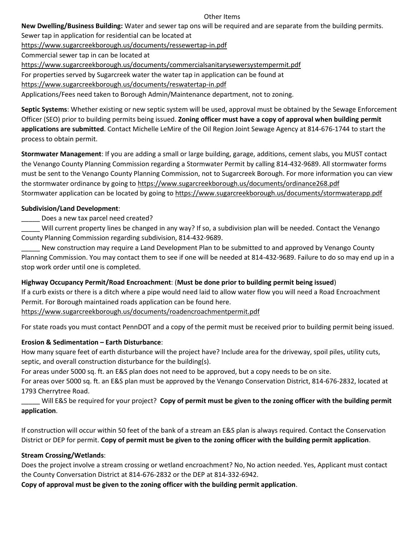#### Other Items

**New Dwelling/Business Building:** Water and sewer tap ons will be required and are separate from the building permits.

Sewer tap in application for residential can be located at <https://www.sugarcreekborough.us/documents/ressewertap-in.pdf> Commercial sewer tap in can be located at <https://www.sugarcreekborough.us/documents/commercialsanitarysewersystempermit.pdf> For properties served by Sugarcreek water the water tap in application can be found at

<https://www.sugarcreekborough.us/documents/reswatertap-in.pdf>

Applications/Fees need taken to Borough Admin/Maintenance department, not to zoning.

**Septic Systems**: Whether existing or new septic system will be used, approval must be obtained by the Sewage Enforcement Officer (SEO) prior to building permits being issued. **Zoning officer must have a copy of approval when building permit applications are submitted**. Contact Michelle LeMire of the Oil Region Joint Sewage Agency at 814-676-1744 to start the process to obtain permit.

**Stormwater Management**: If you are adding a small or large building, garage, additions, cement slabs, you MUST contact the Venango County Planning Commission regarding a Stormwater Permit by calling 814-432-9689. All stormwater forms must be sent to the Venango County Planning Commission, not to Sugarcreek Borough. For more information you can view the stormwater ordinance by going t[o https://www.sugarcreekborough.us/documents/ordinance268.pdf](https://www.sugarcreekborough.us/documents/ordinance268.pdf) Stormwater application can be located by going to<https://www.sugarcreekborough.us/documents/stormwaterapp.pdf>

### **Subdivision/Land Development**:

Does a new tax parcel need created?

\_\_\_\_\_ Will current property lines be changed in any way? If so, a subdivision plan will be needed. Contact the Venango County Planning Commission regarding subdivision, 814-432-9689.

New construction may require a Land Development Plan to be submitted to and approved by Venango County Planning Commission. You may contact them to see if one will be needed at 814-432-9689. Failure to do so may end up in a stop work order until one is completed.

### **Highway Occupancy Permit/Road Encroachment**: (**Must be done prior to building permit being issued**)

If a curb exists or there is a ditch where a pipe would need laid to allow water flow you will need a Road Encroachment Permit. For Borough maintained roads application can be found here.

<https://www.sugarcreekborough.us/documents/roadencroachmentpermit.pdf>

For state roads you must contact PennDOT and a copy of the permit must be received prior to building permit being issued.

### **Erosion & Sedimentation – Earth Disturbance**:

How many square feet of earth disturbance will the project have? Include area for the driveway, spoil piles, utility cuts, septic, and overall construction disturbance for the building(s).

For areas under 5000 sq. ft. an E&S plan does not need to be approved, but a copy needs to be on site.

For areas over 5000 sq. ft. an E&S plan must be approved by the Venango Conservation District, 814-676-2832, located at 1793 Cherrytree Road.

\_\_\_\_\_ Will E&S be required for your project? **Copy of permit must be given to the zoning officer with the building permit application**.

If construction will occur within 50 feet of the bank of a stream an E&S plan is always required. Contact the Conservation District or DEP for permit. **Copy of permit must be given to the zoning officer with the building permit application**.

### **Stream Crossing/Wetlands**:

Does the project involve a stream crossing or wetland encroachment? No, No action needed. Yes, Applicant must contact the County Conversation District at 814-676-2832 or the DEP at 814-332-6942.

**Copy of approval must be given to the zoning officer with the building permit application**.